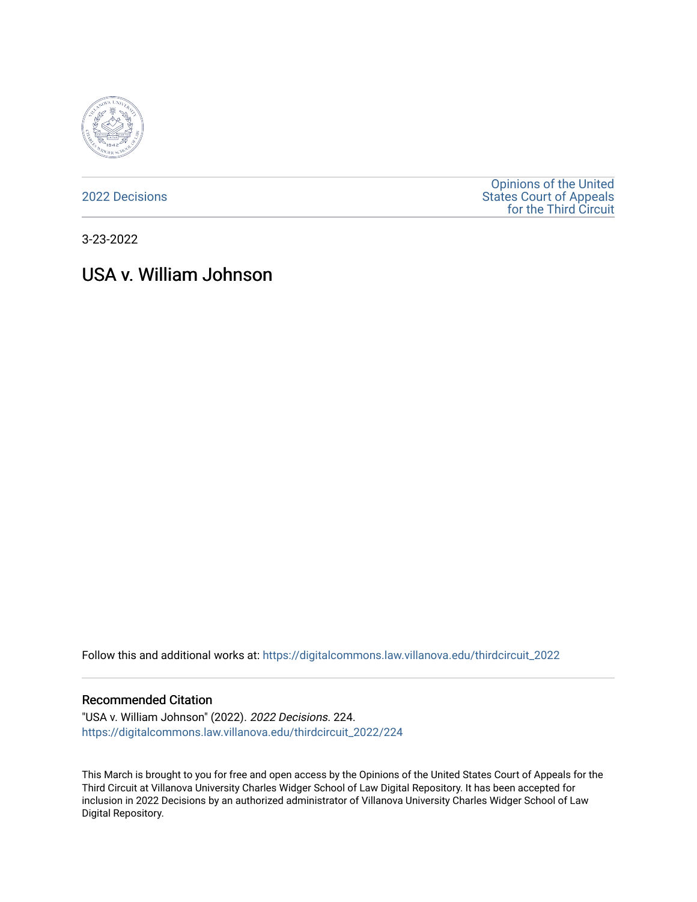

[2022 Decisions](https://digitalcommons.law.villanova.edu/thirdcircuit_2022)

[Opinions of the United](https://digitalcommons.law.villanova.edu/thirdcircuit)  [States Court of Appeals](https://digitalcommons.law.villanova.edu/thirdcircuit)  [for the Third Circuit](https://digitalcommons.law.villanova.edu/thirdcircuit) 

3-23-2022

# USA v. William Johnson

Follow this and additional works at: [https://digitalcommons.law.villanova.edu/thirdcircuit\\_2022](https://digitalcommons.law.villanova.edu/thirdcircuit_2022?utm_source=digitalcommons.law.villanova.edu%2Fthirdcircuit_2022%2F224&utm_medium=PDF&utm_campaign=PDFCoverPages) 

#### Recommended Citation

"USA v. William Johnson" (2022). 2022 Decisions. 224. [https://digitalcommons.law.villanova.edu/thirdcircuit\\_2022/224](https://digitalcommons.law.villanova.edu/thirdcircuit_2022/224?utm_source=digitalcommons.law.villanova.edu%2Fthirdcircuit_2022%2F224&utm_medium=PDF&utm_campaign=PDFCoverPages)

This March is brought to you for free and open access by the Opinions of the United States Court of Appeals for the Third Circuit at Villanova University Charles Widger School of Law Digital Repository. It has been accepted for inclusion in 2022 Decisions by an authorized administrator of Villanova University Charles Widger School of Law Digital Repository.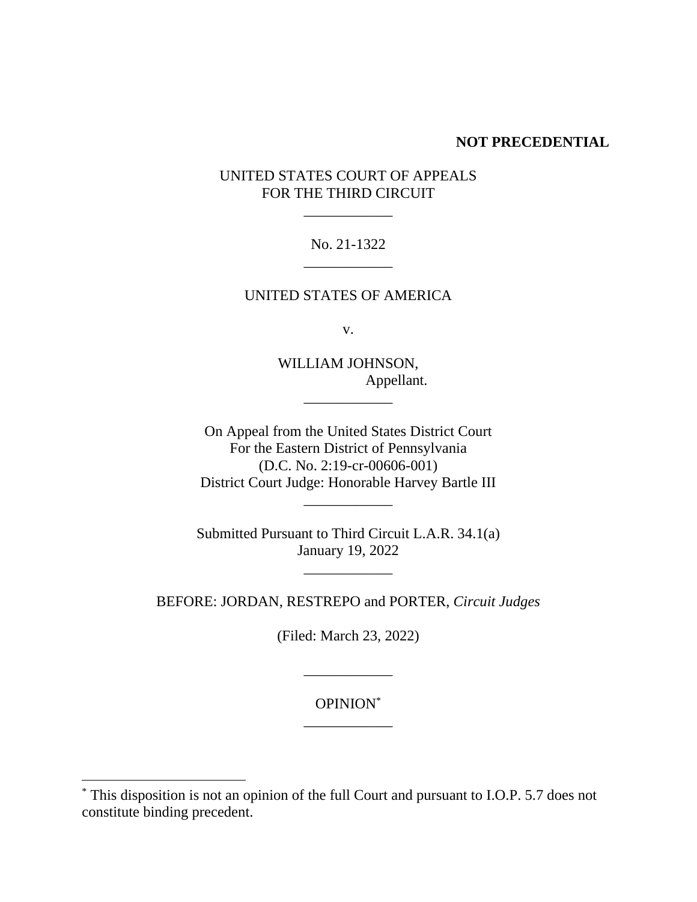#### **NOT PRECEDENTIAL**

# UNITED STATES COURT OF APPEALS FOR THE THIRD CIRCUIT

\_\_\_\_\_\_\_\_\_\_\_\_

# No. 21-1322 \_\_\_\_\_\_\_\_\_\_\_\_

# UNITED STATES OF AMERICA

v.

WILLIAM JOHNSON, Appellant.

\_\_\_\_\_\_\_\_\_\_\_\_

On Appeal from the United States District Court For the Eastern District of Pennsylvania (D.C. No. 2:19-cr-00606-001) District Court Judge: Honorable Harvey Bartle III \_\_\_\_\_\_\_\_\_\_\_\_

Submitted Pursuant to Third Circuit L.A.R. 34.1(a) January 19, 2022

\_\_\_\_\_\_\_\_\_\_\_\_

BEFORE: JORDAN, RESTREPO and PORTER, *Circuit Judges*

(Filed: March 23, 2022)

\_\_\_\_\_\_\_\_\_\_\_\_

OPINION\* \_\_\_\_\_\_\_\_\_\_\_\_

<sup>\*</sup> This disposition is not an opinion of the full Court and pursuant to I.O.P. 5.7 does not constitute binding precedent.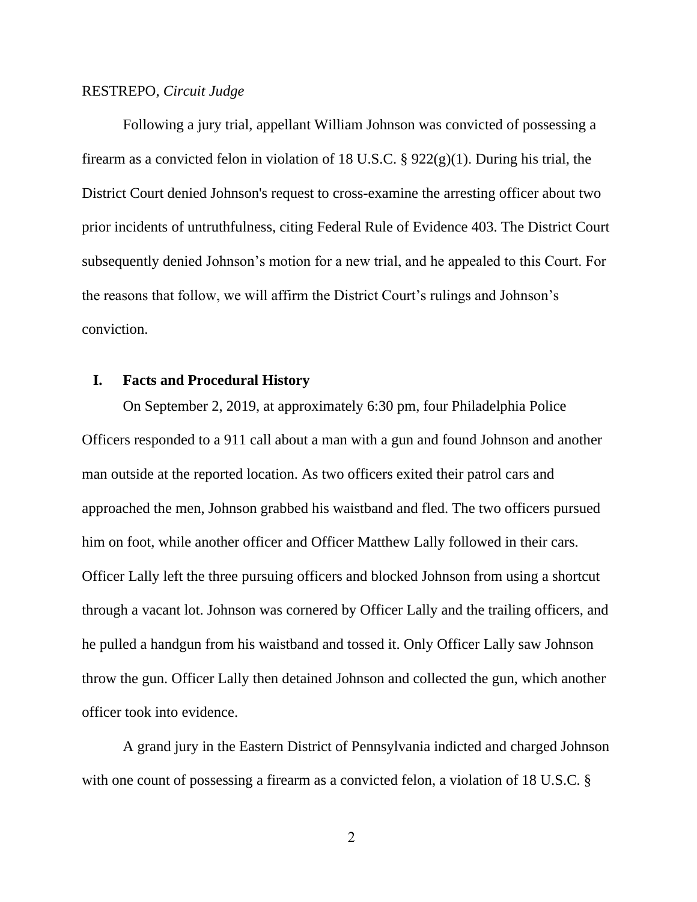#### RESTREPO, *Circuit Judge*

Following a jury trial, appellant William Johnson was convicted of possessing a firearm as a convicted felon in violation of 18 U.S.C.  $\S 922(g)(1)$ . During his trial, the District Court denied Johnson's request to cross-examine the arresting officer about two prior incidents of untruthfulness, citing Federal Rule of Evidence 403. The District Court subsequently denied Johnson's motion for a new trial, and he appealed to this Court. For the reasons that follow, we will affirm the District Court's rulings and Johnson's conviction.

#### **I. Facts and Procedural History**

On September 2, 2019, at approximately 6:30 pm, four Philadelphia Police Officers responded to a 911 call about a man with a gun and found Johnson and another man outside at the reported location. As two officers exited their patrol cars and approached the men, Johnson grabbed his waistband and fled. The two officers pursued him on foot, while another officer and Officer Matthew Lally followed in their cars. Officer Lally left the three pursuing officers and blocked Johnson from using a shortcut through a vacant lot. Johnson was cornered by Officer Lally and the trailing officers, and he pulled a handgun from his waistband and tossed it. Only Officer Lally saw Johnson throw the gun. Officer Lally then detained Johnson and collected the gun, which another officer took into evidence.

A grand jury in the Eastern District of Pennsylvania indicted and charged Johnson with one count of possessing a firearm as a convicted felon, a violation of 18 U.S.C. §

2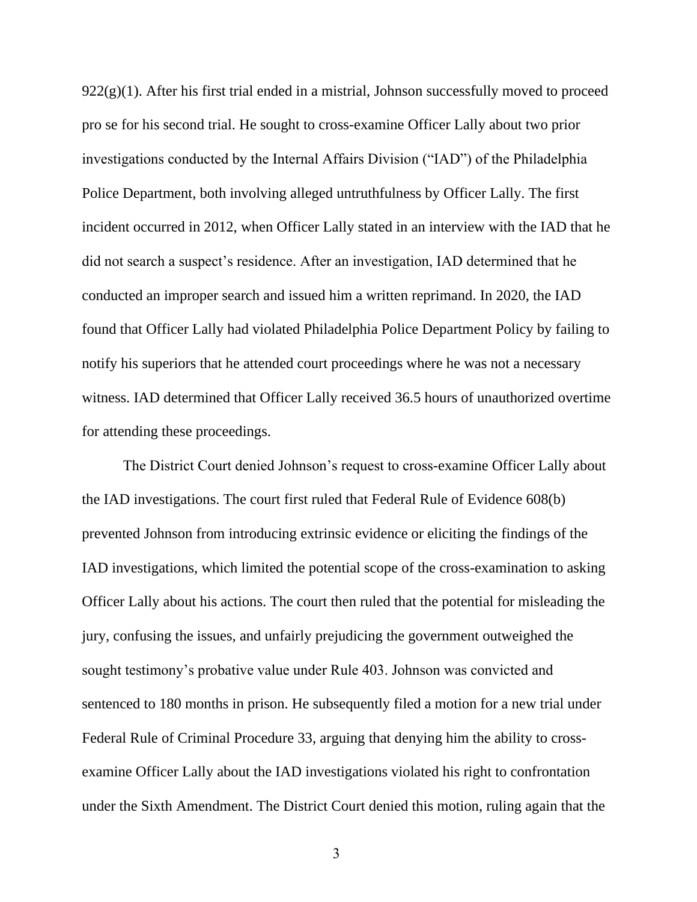$922(g)(1)$ . After his first trial ended in a mistrial, Johnson successfully moved to proceed pro se for his second trial. He sought to cross-examine Officer Lally about two prior investigations conducted by the Internal Affairs Division ("IAD") of the Philadelphia Police Department, both involving alleged untruthfulness by Officer Lally. The first incident occurred in 2012, when Officer Lally stated in an interview with the IAD that he did not search a suspect's residence. After an investigation, IAD determined that he conducted an improper search and issued him a written reprimand. In 2020, the IAD found that Officer Lally had violated Philadelphia Police Department Policy by failing to notify his superiors that he attended court proceedings where he was not a necessary witness. IAD determined that Officer Lally received 36.5 hours of unauthorized overtime for attending these proceedings.

The District Court denied Johnson's request to cross-examine Officer Lally about the IAD investigations. The court first ruled that Federal Rule of Evidence 608(b) prevented Johnson from introducing extrinsic evidence or eliciting the findings of the IAD investigations, which limited the potential scope of the cross-examination to asking Officer Lally about his actions. The court then ruled that the potential for misleading the jury, confusing the issues, and unfairly prejudicing the government outweighed the sought testimony's probative value under Rule 403. Johnson was convicted and sentenced to 180 months in prison. He subsequently filed a motion for a new trial under Federal Rule of Criminal Procedure 33, arguing that denying him the ability to crossexamine Officer Lally about the IAD investigations violated his right to confrontation under the Sixth Amendment. The District Court denied this motion, ruling again that the

3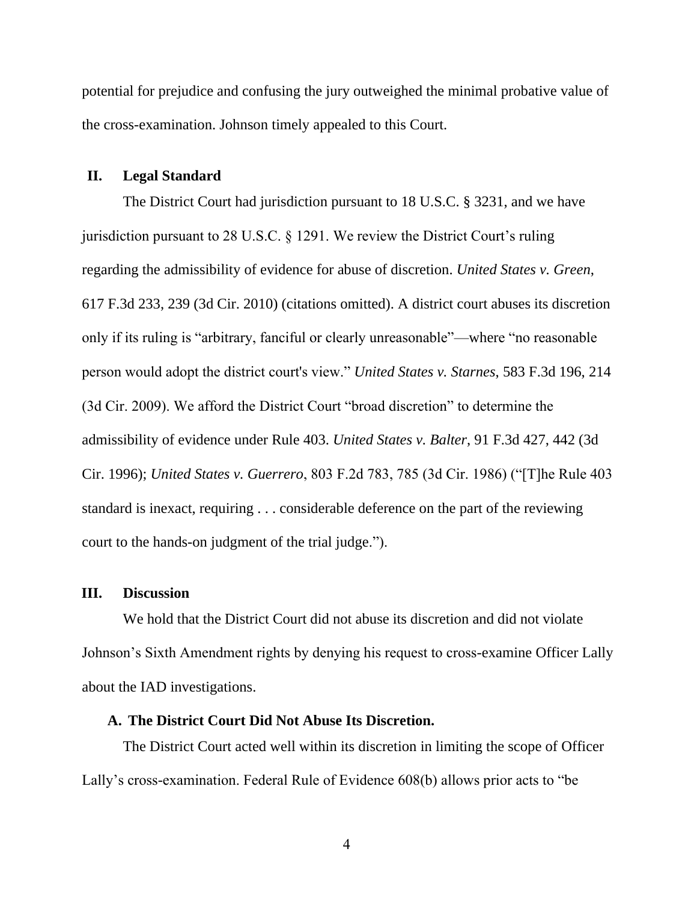potential for prejudice and confusing the jury outweighed the minimal probative value of the cross-examination. Johnson timely appealed to this Court.

# **II. Legal Standard**

The District Court had jurisdiction pursuant to 18 U.S.C. § 3231, and we have jurisdiction pursuant to 28 U.S.C. § 1291. We review the District Court's ruling regarding the admissibility of evidence for abuse of discretion. *United States v. Green*, 617 F.3d 233, 239 (3d Cir. 2010) (citations omitted). A district court abuses its discretion only if its ruling is "arbitrary, fanciful or clearly unreasonable"—where "no reasonable person would adopt the district court's view." *United States v. Starnes*, 583 F.3d 196, 214 (3d Cir. 2009). We afford the District Court "broad discretion" to determine the admissibility of evidence under Rule 403. *United States v. Balter*, 91 F.3d 427, 442 (3d Cir. 1996); *United States v. Guerrero*, 803 F.2d 783, 785 (3d Cir. 1986) ("[T]he Rule 403 standard is inexact, requiring . . . considerable deference on the part of the reviewing court to the hands-on judgment of the trial judge.").

#### **III. Discussion**

We hold that the District Court did not abuse its discretion and did not violate Johnson's Sixth Amendment rights by denying his request to cross-examine Officer Lally about the IAD investigations.

# **A. The District Court Did Not Abuse Its Discretion.**

The District Court acted well within its discretion in limiting the scope of Officer Lally's cross-examination. Federal Rule of Evidence 608(b) allows prior acts to "be

4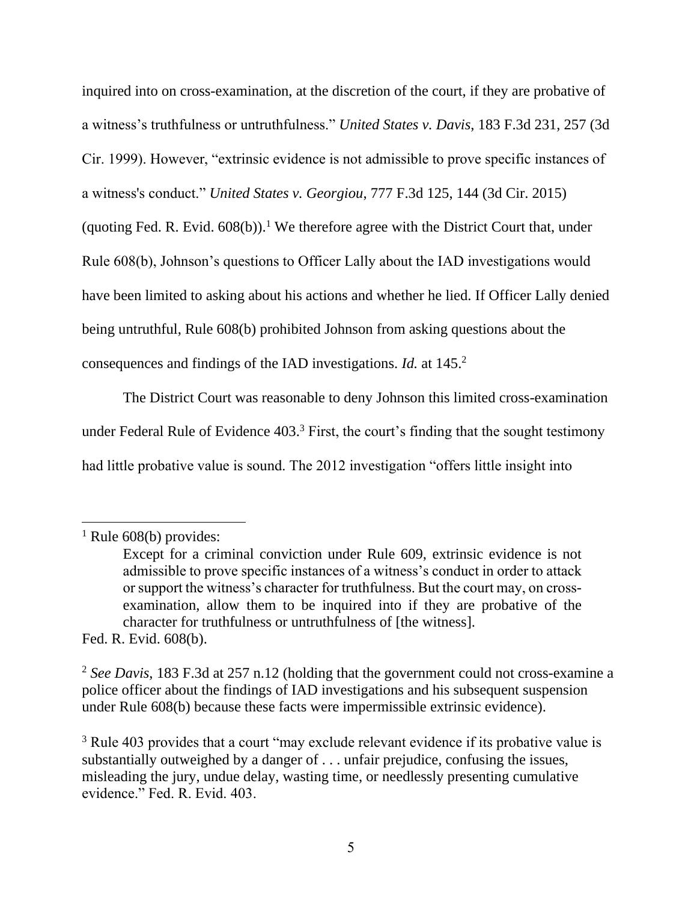inquired into on cross-examination, at the discretion of the court, if they are probative of a witness's truthfulness or untruthfulness." *United States v. Davis*, 183 F.3d 231, 257 (3d Cir. 1999). However, "extrinsic evidence is not admissible to prove specific instances of a witness's conduct." *United States v. Georgiou*, 777 F.3d 125, 144 (3d Cir. 2015)

(quoting Fed. R. Evid.  $608(b)$ ).<sup>1</sup> We therefore agree with the District Court that, under

Rule 608(b), Johnson's questions to Officer Lally about the IAD investigations would

have been limited to asking about his actions and whether he lied. If Officer Lally denied

being untruthful, Rule 608(b) prohibited Johnson from asking questions about the

consequences and findings of the IAD investigations. *Id.* at 145.<sup>2</sup>

The District Court was reasonable to deny Johnson this limited cross-examination under Federal Rule of Evidence 403.<sup>3</sup> First, the court's finding that the sought testimony had little probative value is sound. The 2012 investigation "offers little insight into

Fed. R. Evid. 608(b).

 $<sup>1</sup>$  Rule 608(b) provides:</sup>

Except for a criminal conviction under Rule 609, extrinsic evidence is not admissible to prove specific instances of a witness's conduct in order to attack or support the witness's character for truthfulness. But the court may, on crossexamination, allow them to be inquired into if they are probative of the character for truthfulness or untruthfulness of [the witness].

<sup>2</sup> *See Davis*, 183 F.3d at 257 n.12 (holding that the government could not cross-examine a police officer about the findings of IAD investigations and his subsequent suspension under Rule 608(b) because these facts were impermissible extrinsic evidence).

<sup>&</sup>lt;sup>3</sup> Rule 403 provides that a court "may exclude relevant evidence if its probative value is substantially outweighed by a danger of . . . unfair prejudice, confusing the issues, misleading the jury, undue delay, wasting time, or needlessly presenting cumulative evidence." Fed. R. Evid. 403.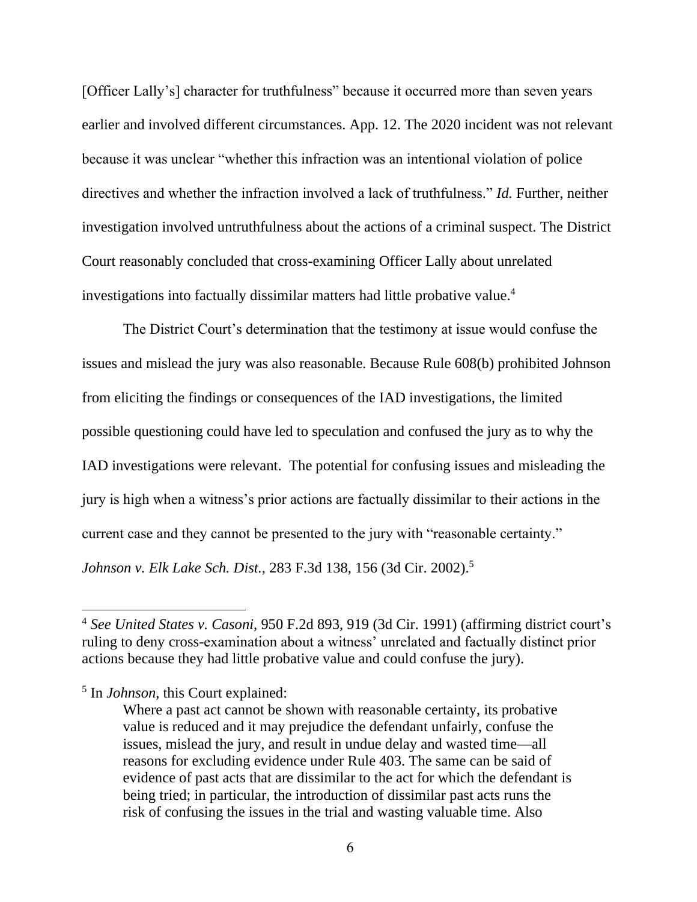[Officer Lally's] character for truthfulness" because it occurred more than seven years earlier and involved different circumstances. App. 12. The 2020 incident was not relevant because it was unclear "whether this infraction was an intentional violation of police directives and whether the infraction involved a lack of truthfulness." *Id.* Further, neither investigation involved untruthfulness about the actions of a criminal suspect. The District Court reasonably concluded that cross-examining Officer Lally about unrelated investigations into factually dissimilar matters had little probative value.<sup>4</sup>

The District Court's determination that the testimony at issue would confuse the issues and mislead the jury was also reasonable. Because Rule 608(b) prohibited Johnson from eliciting the findings or consequences of the IAD investigations, the limited possible questioning could have led to speculation and confused the jury as to why the IAD investigations were relevant. The potential for confusing issues and misleading the jury is high when a witness's prior actions are factually dissimilar to their actions in the current case and they cannot be presented to the jury with "reasonable certainty." *Johnson v. Elk Lake Sch. Dist.*, 283 F.3d 138, 156 (3d Cir. 2002).<sup>5</sup>

<sup>4</sup> *See United States v. Casoni*, 950 F.2d 893, 919 (3d Cir. 1991) (affirming district court's ruling to deny cross-examination about a witness' unrelated and factually distinct prior actions because they had little probative value and could confuse the jury).

<sup>5</sup> In *Johnson*, this Court explained:

Where a past act cannot be shown with reasonable certainty, its probative value is reduced and it may prejudice the defendant unfairly, confuse the issues, mislead the jury, and result in undue delay and wasted time—all reasons for excluding evidence under Rule 403. The same can be said of evidence of past acts that are dissimilar to the act for which the defendant is being tried; in particular, the introduction of dissimilar past acts runs the risk of confusing the issues in the trial and wasting valuable time. Also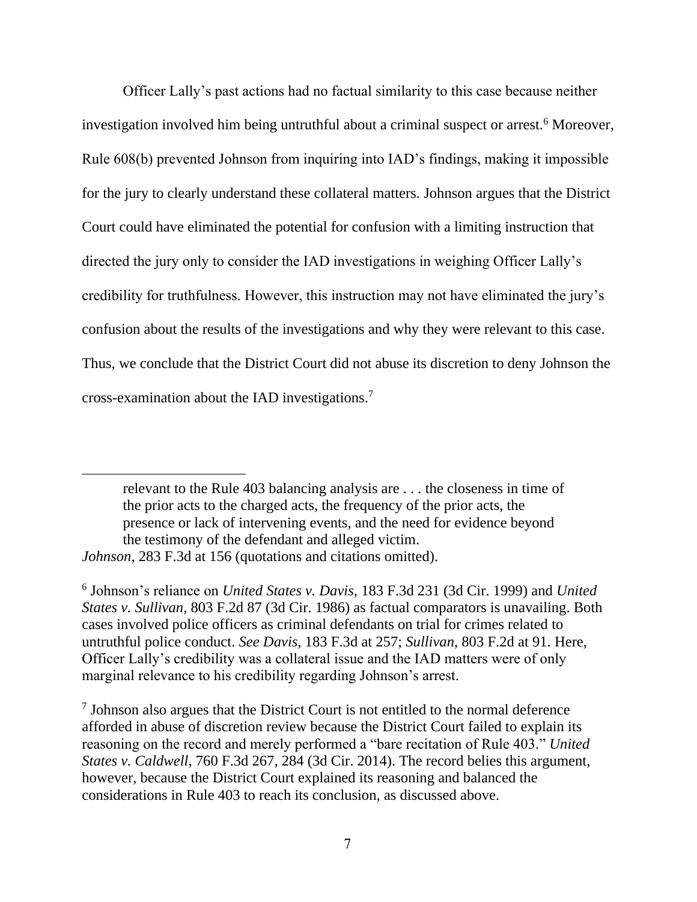Officer Lally's past actions had no factual similarity to this case because neither investigation involved him being untruthful about a criminal suspect or arrest.<sup>6</sup> Moreover, Rule 608(b) prevented Johnson from inquiring into IAD's findings, making it impossible for the jury to clearly understand these collateral matters. Johnson argues that the District Court could have eliminated the potential for confusion with a limiting instruction that directed the jury only to consider the IAD investigations in weighing Officer Lally's credibility for truthfulness. However, this instruction may not have eliminated the jury's confusion about the results of the investigations and why they were relevant to this case. Thus, we conclude that the District Court did not abuse its discretion to deny Johnson the cross-examination about the IAD investigations.<sup>7</sup>

relevant to the Rule 403 balancing analysis are . . . the closeness in time of the prior acts to the charged acts, the frequency of the prior acts, the presence or lack of intervening events, and the need for evidence beyond the testimony of the defendant and alleged victim. *Johnson*, 283 F.3d at 156 (quotations and citations omitted).

6 Johnson's reliance on *United States v. Davis*, 183 F.3d 231 (3d Cir. 1999) and *United States v. Sullivan*, 803 F.2d 87 (3d Cir. 1986) as factual comparators is unavailing. Both cases involved police officers as criminal defendants on trial for crimes related to untruthful police conduct. *See Davis*, 183 F.3d at 257; *Sullivan*, 803 F.2d at 91. Here, Officer Lally's credibility was a collateral issue and the IAD matters were of only marginal relevance to his credibility regarding Johnson's arrest.

7 Johnson also argues that the District Court is not entitled to the normal deference afforded in abuse of discretion review because the District Court failed to explain its reasoning on the record and merely performed a "bare recitation of Rule 403." *United States v. Caldwell*, 760 F.3d 267, 284 (3d Cir. 2014). The record belies this argument, however, because the District Court explained its reasoning and balanced the considerations in Rule 403 to reach its conclusion, as discussed above.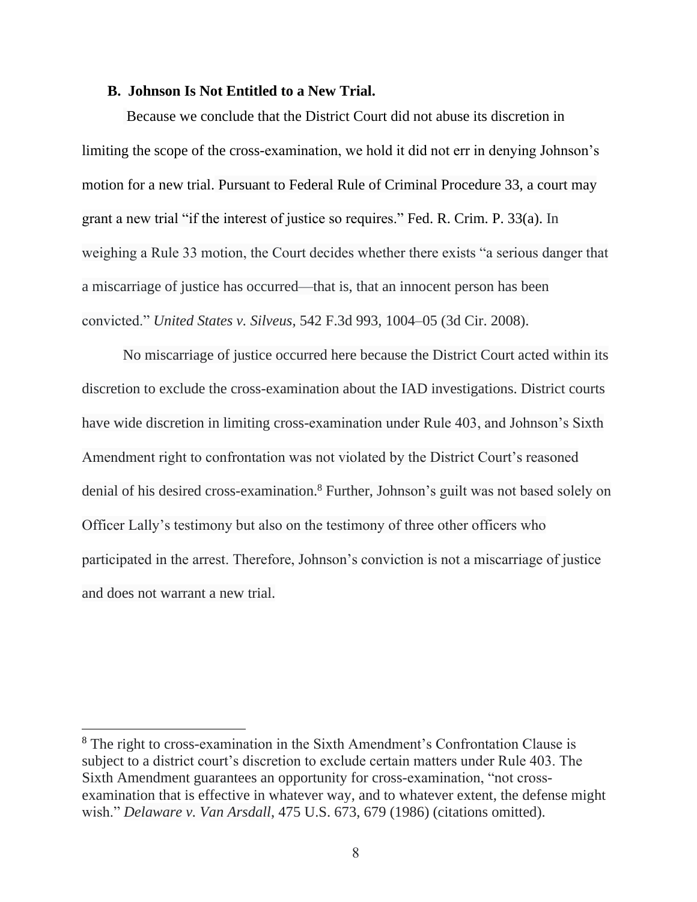#### **B. Johnson Is Not Entitled to a New Trial.**

Because we conclude that the District Court did not abuse its discretion in limiting the scope of the cross-examination, we hold it did not err in denying Johnson's motion for a new trial. Pursuant to Federal Rule of Criminal Procedure 33, a court may grant a new trial "if the interest of justice so requires." Fed. R. Crim. P. 33(a). In weighing a Rule 33 motion, the Court decides whether there exists "a serious danger that a miscarriage of justice has occurred—that is, that an innocent person has been convicted." *United States v. Silveus*, [542 F.3d 993, 1004–05](https://casetext.com/case/us-v-silveus#p1004) (3d Cir. 2008).

No miscarriage of justice occurred here because the District Court acted within its discretion to exclude the cross-examination about the IAD investigations. District courts have wide discretion in limiting cross-examination under Rule 403, and Johnson's Sixth Amendment right to confrontation was not violated by the District Court's reasoned denial of his desired cross-examination.<sup>8</sup> Further, Johnson's guilt was not based solely on Officer Lally's testimony but also on the testimony of three other officers who participated in the arrest. Therefore, Johnson's conviction is not a miscarriage of justice and does not warrant a new trial.

<sup>8</sup> The right to cross-examination in the Sixth Amendment's Confrontation Clause is subject to a district court's discretion to exclude certain matters under Rule 403. The Sixth Amendment guarantees an opportunity for cross-examination, "not crossexamination that is effective in whatever way, and to whatever extent, the defense might wish." *Delaware v. Van Arsdall*, 475 U.S. 673, 679 (1986) (citations omitted).